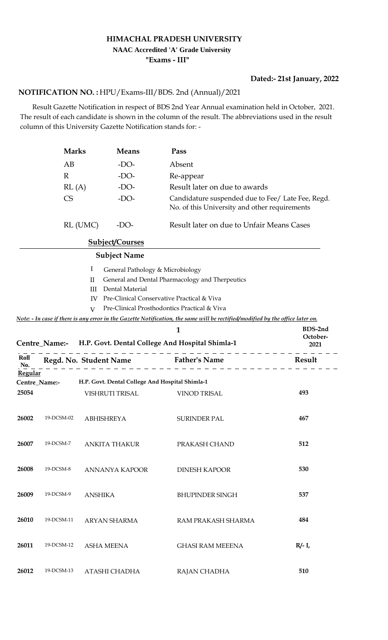#### **HIMACHAL PRADESH UNIVERSITY**

# **NAAC Accredited 'A' Grade University**

**"Exams - III"**

## **Dated:- 21st January, 2022**

### HPU/Exams-III/BDS. 2nd (Annual)/2021 **NOTIFICATION NO. :**

 Result Gazette Notification in respect of BDS 2nd Year Annual examination held in October, 2021. The result of each candidate is shown in the column of the result. The abbreviations used in the result column of this University Gazette Notification stands for: -

|                | <b>Marks</b> |                   | <b>Means</b>                     | Pass                                                                                                                           |                  |
|----------------|--------------|-------------------|----------------------------------|--------------------------------------------------------------------------------------------------------------------------------|------------------|
|                | AB           |                   | $-DO-$                           | Absent                                                                                                                         |                  |
|                | $\mathbb{R}$ |                   | $-DO-$                           | Re-appear<br>Result later on due to awards                                                                                     |                  |
|                | RL(A)        |                   | $-DO-$                           |                                                                                                                                |                  |
|                | <b>CS</b>    |                   | $-DO-$                           | Candidature suspended due to Fee/ Late Fee, Regd.<br>No. of this University and other requirements                             |                  |
|                |              | RL (UMC)          | $-DO-$                           | Result later on due to Unfair Means Cases                                                                                      |                  |
|                |              |                   | <b>Subject/Courses</b>           |                                                                                                                                |                  |
|                |              |                   | <b>Subject Name</b>              |                                                                                                                                |                  |
|                |              | I                 | General Pathology & Microbiology |                                                                                                                                |                  |
|                |              | П                 |                                  | General and Dental Pharmacology and Therpeutics                                                                                |                  |
|                |              | Ш<br>IV           | Dental Material                  | Pre-Clinical Conservative Practical & Viva                                                                                     |                  |
|                |              | $\mathbf{V}$      |                                  | Pre-Clinical Prosthodontics Practical & Viva                                                                                   |                  |
|                |              |                   |                                  | Note: - In case if there is any error in the Gazette Notification, the same will be rectified/modified by the office later on. |                  |
|                |              |                   |                                  | 1                                                                                                                              | BDS-2nd          |
|                |              |                   |                                  | Centre_Name:- H.P. Govt. Dental College And Hospital Shimla-1                                                                  | October-<br>2021 |
| Roll<br>No.    |              |                   |                                  | Regd. No. Student Name Father's Name                                                                                           | Result           |
| <b>Regular</b> |              |                   |                                  |                                                                                                                                |                  |
| Centre_Name:-  |              |                   |                                  | H.P. Govt. Dental College And Hospital Shimla-1                                                                                |                  |
| 25054          |              |                   | VISHRUTI TRISAL                  | <b>VINOD TRISAL</b>                                                                                                            | 493              |
|                |              |                   |                                  |                                                                                                                                |                  |
| 26002          | 19-DCSM-02   | <b>ABHISHREYA</b> |                                  | <b>SURINDER PAL</b>                                                                                                            | 467              |
|                |              |                   |                                  |                                                                                                                                |                  |
| 26007          | 19-DCSM-7    |                   | <b>ANKITA THAKUR</b>             | PRAKASH CHAND                                                                                                                  | 512              |
|                |              |                   |                                  |                                                                                                                                |                  |
| 26008          | 19-DCSM-8    |                   | ANNANYA KAPOOR                   | <b>DINESH KAPOOR</b>                                                                                                           | 530              |
|                |              |                   |                                  |                                                                                                                                |                  |
| 26009          | 19-DCSM-9    | <b>ANSHIKA</b>    |                                  | <b>BHUPINDER SINGH</b>                                                                                                         | 537              |
|                |              |                   |                                  |                                                                                                                                |                  |
| 26010          | 19-DCSM-11   |                   | ARYAN SHARMA                     | RAM PRAKASH SHARMA                                                                                                             | 484              |
|                |              |                   |                                  |                                                                                                                                |                  |
| 26011          | 19-DCSM-12   | <b>ASHA MEENA</b> |                                  | <b>GHASI RAM MEEENA</b>                                                                                                        | $R/- I$ ,        |
|                |              |                   |                                  |                                                                                                                                |                  |
| 26012          | 19-DCSM-13   |                   | ATASHI CHADHA                    | RAJAN CHADHA                                                                                                                   | 510              |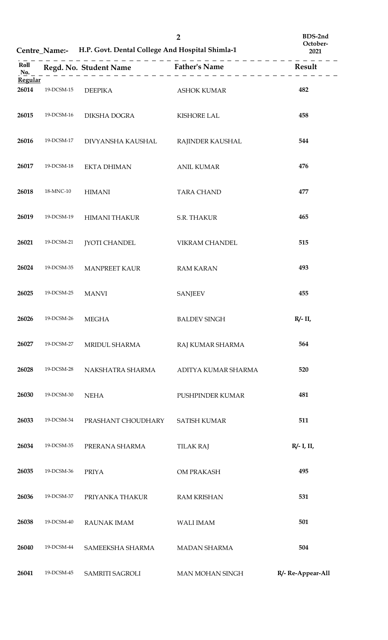|                  |            | Centre_Name:- H.P. Govt. Dental College And Hospital Shimla-1 | BDS-2nd<br>October-<br>2021 |                   |
|------------------|------------|---------------------------------------------------------------|-----------------------------|-------------------|
| Roll<br>No.      |            | Regd. No. Student Name Father's Name                          |                             | Result            |
| Regular<br>26014 | 19-DCSM-15 | <b>DEEPIKA</b>                                                | <b>ASHOK KUMAR</b>          | 482               |
| 26015            | 19-DCSM-16 | DIKSHA DOGRA                                                  | <b>KISHORE LAL</b>          | 458               |
| 26016            | 19-DCSM-17 | DIVYANSHA KAUSHAL                                             | RAJINDER KAUSHAL            | 544               |
| 26017            | 19-DCSM-18 | <b>EKTA DHIMAN</b>                                            | <b>ANIL KUMAR</b>           | 476               |
| 26018            | 18-MNC-10  | <b>HIMANI</b>                                                 | <b>TARA CHAND</b>           | 477               |
| 26019            | 19-DCSM-19 | <b>HIMANI THAKUR</b>                                          | <b>S.R. THAKUR</b>          | 465               |
| 26021            | 19-DCSM-21 | <b>JYOTI CHANDEL</b>                                          | VIKRAM CHANDEL              | 515               |
| 26024            | 19-DCSM-35 | <b>MANPREET KAUR</b>                                          | <b>RAM KARAN</b>            | 493               |
| 26025            | 19-DCSM-25 | <b>MANVI</b>                                                  | <b>SANJEEV</b>              | 455               |
| 26026            | 19-DCSM-26 | <b>MEGHA</b>                                                  | <b>BALDEV SINGH</b>         | $R/- II$ ,        |
| 26027            | 19-DCSM-27 | MRIDUL SHARMA                                                 | RAJ KUMAR SHARMA            | 564               |
| 26028            | 19-DCSM-28 | NAKSHATRA SHARMA                                              | ADITYA KUMAR SHARMA         | 520               |
| 26030            | 19-DCSM-30 | <b>NEHA</b>                                                   | PUSHPINDER KUMAR            | 481               |
| 26033            | 19-DCSM-34 | PRASHANT CHOUDHARY                                            | <b>SATISH KUMAR</b>         | 511               |
| 26034            | 19-DCSM-35 | PRERANA SHARMA                                                | <b>TILAK RAJ</b>            | $R/- I$ , II,     |
| 26035            | 19-DCSM-36 | <b>PRIYA</b>                                                  | OM PRAKASH                  | 495               |
| 26036            | 19-DCSM-37 | PRIYANKA THAKUR                                               | <b>RAM KRISHAN</b>          | 531               |
| 26038            | 19-DCSM-40 | <b>RAUNAK IMAM</b>                                            | <b>WALI IMAM</b>            | 501               |
| 26040            | 19-DCSM-44 | SAMEEKSHA SHARMA                                              | <b>MADAN SHARMA</b>         | 504               |
| 26041            | 19-DCSM-45 | SAMRITI SAGROLI                                               | MAN MOHAN SINGH             | R/- Re-Appear-All |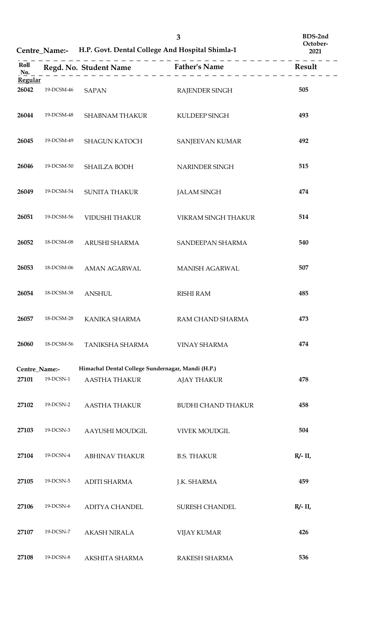|                  |            | Centre_Name:- H.P. Govt. Dental College And Hospital Shimla-1 | October-<br>2021          |          |
|------------------|------------|---------------------------------------------------------------|---------------------------|----------|
| Roll<br>No.      |            |                                                               |                           | Result   |
| Regular<br>26042 | 19-DCSM-46 | <b>SAPAN</b>                                                  | RAJENDER SINGH            | 505      |
| 26044            | 19-DCSM-48 | <b>SHABNAM THAKUR</b>                                         | KULDEEP SINGH             | 493      |
| 26045            | 19-DCSM-49 | <b>SHAGUN KATOCH</b>                                          | SANJEEVAN KUMAR           | 492      |
| 26046            | 19-DCSM-50 | SHAILZA BODH                                                  | NARINDER SINGH            | 515      |
| 26049            | 19-DCSM-54 | <b>SUNITA THAKUR</b>                                          | <b>JALAM SINGH</b>        | 474      |
| 26051            | 19-DCSM-56 | <b>VIDUSHI THAKUR</b>                                         | VIKRAM SINGH THAKUR       | 514      |
| 26052            | 18-DCSM-08 | ARUSHI SHARMA                                                 | SANDEEPAN SHARMA          | 540      |
| 26053            | 18-DCSM-06 | <b>AMAN AGARWAL</b>                                           | MANISH AGARWAL            | 507      |
| 26054            | 18-DCSM-38 | <b>ANSHUL</b>                                                 | <b>RISHI RAM</b>          | 485      |
| 26057            | 18-DCSM-28 | KANIKA SHARMA                                                 | RAM CHAND SHARMA          | 473      |
| 26060            | 18-DCSM-56 | TANIKSHA SHARMA                                               | <b>VINAY SHARMA</b>       | 474      |
| Centre_Name:-    |            | Himachal Dental College Sundernagar, Mandi (H.P.)             |                           |          |
| 27101            | 19-DCSN-1  | <b>AASTHA THAKUR</b>                                          | <b>AJAY THAKUR</b>        | 478      |
| 27102            | 19-DCSN-2  | <b>AASTHA THAKUR</b>                                          | <b>BUDHI CHAND THAKUR</b> | 458      |
| 27103            | 19-DCSN-3  | AAYUSHI MOUDGIL                                               | <b>VIVEK MOUDGIL</b>      | 504      |
| 27104            | 19-DCSN-4  | <b>ABHINAV THAKUR</b>                                         | <b>B.S. THAKUR</b>        | $R/- II$ |
| 27105            | 19-DCSN-5  | <b>ADITI SHARMA</b>                                           | J.K. SHARMA               | 459      |
| 27106            | 19-DCSN-6  | <b>ADITYA CHANDEL</b>                                         | <b>SURESH CHANDEL</b>     | $R/- II$ |
| 27107            | 19-DCSN-7  | <b>AKASH NIRALA</b>                                           | <b>VIJAY KUMAR</b>        | 426      |
| 27108            | 19-DCSN-8  | AKSHITA SHARMA                                                | RAKESH SHARMA             | 536      |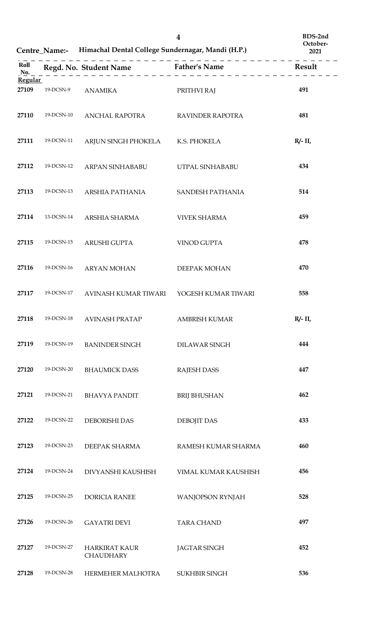|                         |            | Centre_Name:- Himachal Dental College Sundernagar, Mandi (H.P.) | BDS-2nd<br>October-<br>2021 |                         |
|-------------------------|------------|-----------------------------------------------------------------|-----------------------------|-------------------------|
| Roll<br>No.             |            | Regd. No. Student Name Father's Name                            |                             | <b>Example 3</b> Result |
| <b>Regular</b><br>27109 | 19-DCSN-9  | <b>ANAMIKA</b>                                                  | PRITHVI RAJ                 | 491                     |
| 27110                   | 19-DCSN-10 | ANCHAL RAPOTRA                                                  | RAVINDER RAPOTRA            | 481                     |
| 27111                   | 19-DCSN-11 | ARJUN SINGH PHOKELA K.S. PHOKELA                                |                             | $R/- II$ ,              |
| 27112                   | 19-DCSN-12 | ARPAN SINHABABU                                                 | UTPAL SINHABABU             | 434                     |
| 27113                   | 19-DCSN-13 | ARSHIA PATHANIA                                                 | SANDESH PATHANIA            | 514                     |
| 27114                   | 13-DCSN-14 | ARSHIA SHARMA                                                   | <b>VIVEK SHARMA</b>         | 459                     |
| 27115                   | 19-DCSN-15 | ARUSHI GUPTA                                                    | VINOD GUPTA                 | 478                     |
| 27116                   | 19-DCSN-16 | <b>ARYAN MOHAN</b>                                              | DEEPAK MOHAN                | 470                     |
| 27117                   | 19-DCSN-17 | <b>AVINASH KUMAR TIWARI</b>                                     | YOGESH KUMAR TIWARI         | 558                     |
| 27118                   | 19-DCSN-18 | <b>AVINASH PRATAP</b>                                           | <b>AMBRISH KUMAR</b>        | R/- II,                 |
| 27119                   | 19-DCSN-19 | <b>BANINDER SINGH</b>                                           | DILAWAR SINGH               | 444                     |
| 27120                   | 19-DCSN-20 | <b>BHAUMICK DASS</b>                                            | <b>RAJESH DASS</b>          | 447                     |
| 27121                   | 19-DCSN-21 | <b>BHAVYA PANDIT</b>                                            | <b>BRIJ BHUSHAN</b>         | 462                     |
| 27122                   | 19-DCSN-22 | DEBORISHI DAS                                                   | <b>DEBOJIT DAS</b>          | 433                     |
| 27123                   | 19-DCSN-23 | DEEPAK SHARMA                                                   | RAMESH KUMAR SHARMA         | 460                     |
| 27124                   | 19-DCSN-24 | DIVYANSHI KAUSHISH                                              | VIMAL KUMAR KAUSHISH        | 456                     |
| 27125                   | 19-DCSN-25 | <b>DORICIA RANEE</b>                                            | <b>WANJOPSON RYNJAH</b>     | 528                     |
| 27126                   | 19-DCSN-26 | <b>GAYATRI DEVI</b>                                             | <b>TARA CHAND</b>           | 497                     |
| 27127                   | 19-DCSN-27 | <b>HARKIRAT KAUR</b><br><b>CHAUDHARY</b>                        | <b>JAGTAR SINGH</b>         | 452                     |
| 27128                   | 19-DCSN-28 | HERMEHER MALHOTRA                                               | SUKHBIR SINGH               | 536                     |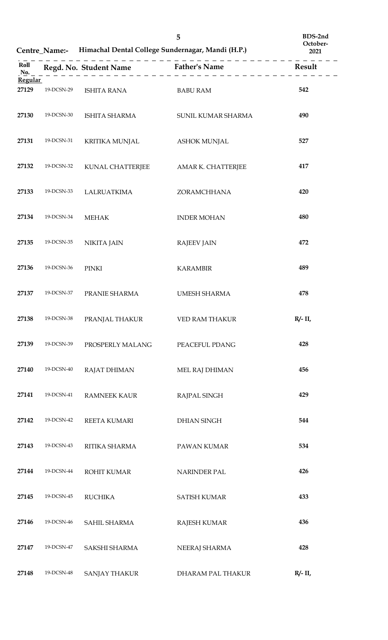| Centre Name:- Himachal Dental College Sundernagar, Mandi (H.P.) |
|-----------------------------------------------------------------|

**BDS-2nd October-**

| <b>Regular</b> |            |                                            |                       |            |
|----------------|------------|--------------------------------------------|-----------------------|------------|
| 27129          | 19-DCSN-29 | ISHITA RANA                                | <b>BABU RAM</b>       | 542        |
| 27130          | 19-DCSN-30 | ISHITA SHARMA                              | SUNIL KUMAR SHARMA    | 490        |
| 27131          | 19-DCSN-31 | KRITIKA MUNJAL                             | <b>ASHOK MUNJAL</b>   | 527        |
| 27132          | 19-DCSN-32 | KUNAL CHATTERJEE AMAR K. CHATTERJEE        |                       | 417        |
| 27133          | 19-DCSN-33 | <b>LALRUATKIMA</b>                         | ZORAMCHHANA           | 420        |
| 27134          | 19-DCSN-34 | <b>MEHAK</b>                               | <b>INDER MOHAN</b>    | 480        |
| 27135          | 19-DCSN-35 | NIKITA JAIN                                | <b>RAJEEV JAIN</b>    | 472        |
| 27136          | 19-DCSN-36 | PINKI                                      | <b>KARAMBIR</b>       | 489        |
| 27137          | 19-DCSN-37 | PRANIE SHARMA                              | UMESH SHARMA          | 478        |
| 27138          | 19-DCSN-38 | PRANJAL THAKUR                             | <b>VED RAM THAKUR</b> | $R/- II$   |
| 27139          |            | 19-DCSN-39 PROSPERLY MALANG PEACEFUL PDANG |                       | 428        |
| 27140          | 19-DCSN-40 | <b>RAJAT DHIMAN</b>                        | MEL RAJ DHIMAN        | 456        |
| 27141          | 19-DCSN-41 | <b>RAMNEEK KAUR</b>                        | RAJPAL SINGH          | 429        |
| 27142          | 19-DCSN-42 | REETA KUMARI                               | <b>DHIAN SINGH</b>    | 544        |
| 27143          | 19-DCSN-43 | RITIKA SHARMA                              | PAWAN KUMAR           | 534        |
| 27144          | 19-DCSN-44 | ROHIT KUMAR                                | <b>NARINDER PAL</b>   | 426        |
| 27145          | 19-DCSN-45 | <b>RUCHIKA</b>                             | <b>SATISH KUMAR</b>   | 433        |
| 27146          | 19-DCSN-46 | SAHIL SHARMA                               | <b>RAJESH KUMAR</b>   | 436        |
| 27147          | 19-DCSN-47 | SAKSHI SHARMA                              | NEERAJ SHARMA         | 428        |
| 27148          | 19-DCSN-48 | <b>SANJAY THAKUR</b>                       | DHARAM PAL THAKUR     | $R/- II$ , |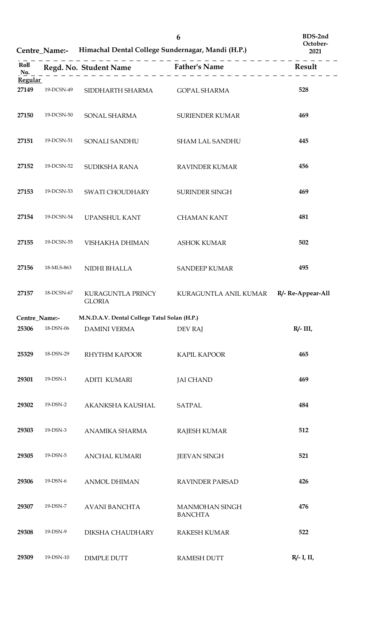|                         |            | Centre_Name:- Himachal Dental College Sundernagar, Mandi (H.P.) |                                  | October-<br>2021  |
|-------------------------|------------|-----------------------------------------------------------------|----------------------------------|-------------------|
| Roll<br>No.             |            | Regd. No. Student Name Father's Name                            |                                  | Result            |
| <b>Regular</b><br>27149 | 19-DCSN-49 | SIDDHARTH SHARMA                                                | <b>GOPAL SHARMA</b>              | 528               |
| 27150                   | 19-DCSN-50 | SONAL SHARMA                                                    | <b>SURIENDER KUMAR</b>           | 469               |
| 27151                   | 19-DCSN-51 | SONALI SANDHU                                                   | <b>SHAM LAL SANDHU</b>           | 445               |
| 27152                   | 19-DCSN-52 | SUDIKSHA RANA                                                   | <b>RAVINDER KUMAR</b>            | 456               |
| 27153                   | 19-DCSN-53 | SWATI CHOUDHARY                                                 | SURINDER SINGH                   | 469               |
| 27154                   | 19-DCSN-54 | UPANSHUL KANT                                                   | <b>CHAMAN KANT</b>               | 481               |
| 27155                   | 19-DCSN-55 | VISHAKHA DHIMAN                                                 | <b>ASHOK KUMAR</b>               | 502               |
| 27156                   | 18-MLS-863 | NIDHI BHALLA                                                    | <b>SANDEEP KUMAR</b>             | 495               |
| 27157                   | 18-DCSN-67 | KURAGUNTLA PRINCY<br><b>GLORIA</b>                              | KURAGUNTLA ANIL KUMAR            | R/- Re-Appear-All |
| Centre_Name:-           |            | M.N.D.A.V. Dental College Tatul Solan (H.P.)                    |                                  |                   |
| 25306                   | 18-DSN-06  | <b>DAMINI VERMA</b>                                             | <b>DEV RAJ</b>                   | $R/- III$ ,       |
| 25329                   | 18-DSN-29  | <b>RHYTHM KAPOOR</b>                                            | <b>KAPIL KAPOOR</b>              | 465               |
| 29301                   | 19-DSN-1   | <b>ADITI KUMARI</b>                                             | <b>JAI CHAND</b>                 | 469               |
| 29302                   | 19-DSN-2   | AKANKSHA KAUSHAL                                                | <b>SATPAL</b>                    | 484               |
| 29303                   | 19-DSN-3   | ANAMIKA SHARMA                                                  | <b>RAJESH KUMAR</b>              | 512               |
| 29305                   | 19-DSN-5   | ANCHAL KUMARI                                                   | <b>JEEVAN SINGH</b>              | 521               |
| 29306                   | 19-DSN-6   | <b>ANMOL DHIMAN</b>                                             | <b>RAVINDER PARSAD</b>           | 426               |
| 29307                   | 19-DSN-7   | <b>AVANI BANCHTA</b>                                            | MANMOHAN SINGH<br><b>BANCHTA</b> | 476               |
| 29308                   | 19-DSN-9   | DIKSHA CHAUDHARY                                                | <b>RAKESH KUMAR</b>              | 522               |
| 29309                   | 19-DSN-10  | <b>DIMPLE DUTT</b>                                              | <b>RAMESH DUTT</b>               | $R/- I$ , II,     |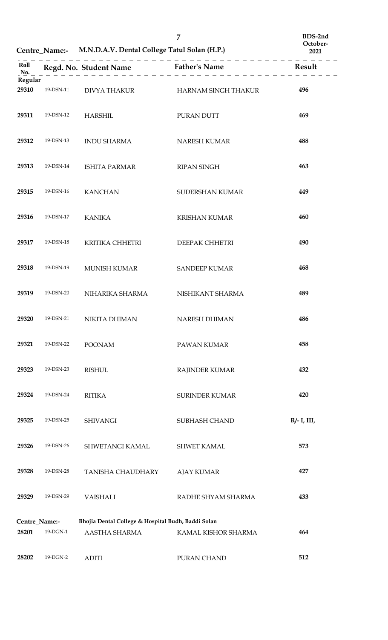|                                   |           | Centre_Name:- M.N.D.A.V. Dental College Tatul Solan (H.P.) |                                  | October-<br>2021 |  |
|-----------------------------------|-----------|------------------------------------------------------------|----------------------------------|------------------|--|
| $\pmb{\quad \text{Roll} }$<br>No. |           |                                                            |                                  |                  |  |
| Regular<br>29310                  | 19-DSN-11 |                                                            | DIVYA THAKUR HARNAM SINGH THAKUR | 496              |  |
| 29311                             | 19-DSN-12 | <b>HARSHIL</b>                                             | PURAN DUTT                       | 469              |  |
| 29312                             | 19-DSN-13 | <b>INDU SHARMA</b>                                         | NARESH KUMAR                     | 488              |  |
| 29313                             | 19-DSN-14 | <b>ISHITA PARMAR</b>                                       | <b>RIPAN SINGH</b>               | 463              |  |
| 29315                             | 19-DSN-16 | <b>KANCHAN</b>                                             | SUDERSHAN KUMAR                  | 449              |  |
| 29316                             | 19-DSN-17 | <b>KANIKA</b>                                              | <b>KRISHAN KUMAR</b>             | 460              |  |
| 29317                             | 19-DSN-18 | KRITIKA CHHETRI                                            | DEEPAK CHHETRI                   | 490              |  |
| 29318                             | 19-DSN-19 | MUNISH KUMAR                                               | <b>SANDEEP KUMAR</b>             | 468              |  |
| 29319                             | 19-DSN-20 | NIHARIKA SHARMA                                            | NISHIKANT SHARMA                 | 489              |  |
| 29320                             | 19-DSN-21 | <b>NIKITA DHIMAN</b>                                       | <b>NARESH DHIMAN</b>             | 486              |  |
| 29321                             | 19-DSN-22 | <b>POONAM</b>                                              | PAWAN KUMAR                      | 458              |  |
| 29323                             | 19-DSN-23 | <b>RISHUL</b>                                              | RAJINDER KUMAR                   | 432              |  |
| 29324                             | 19-DSN-24 | <b>RITIKA</b>                                              | <b>SURINDER KUMAR</b>            | 420              |  |
| 29325                             | 19-DSN-25 | <b>SHIVANGI</b>                                            | SUBHASH CHAND                    | $R/- I$ , III,   |  |
| 29326                             | 19-DSN-26 | SHWETANGI KAMAL                                            | <b>SHWET KAMAL</b>               | 573              |  |
| 29328                             | 19-DSN-28 | TANISHA CHAUDHARY                                          | <b>AJAY KUMAR</b>                | 427              |  |
| 29329                             | 19-DSN-29 | <b>VAISHALI</b>                                            | RADHE SHYAM SHARMA               | 433              |  |
| Centre_Name:-                     |           | Bhojia Dental College & Hospital Budh, Baddi Solan         |                                  |                  |  |
| 28201                             | 19-DGN-1  | AASTHA SHARMA                                              | KAMAL KISHOR SHARMA              | 464              |  |
| 28202                             | 19-DGN-2  | <b>ADITI</b>                                               | PURAN CHAND                      | 512              |  |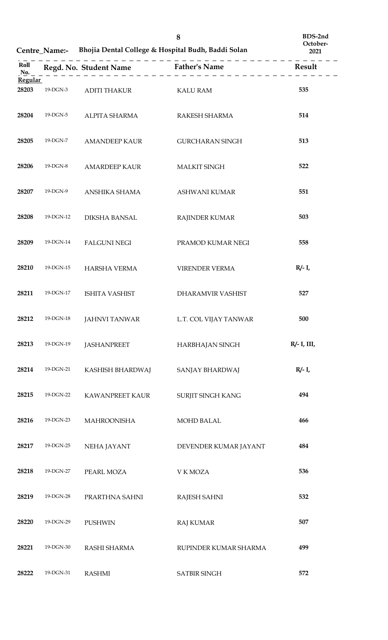|                  |           | Centre Name:- Bhojia Dental College & Hospital Budh, Baddi Solan | October-<br>2021                            |                |
|------------------|-----------|------------------------------------------------------------------|---------------------------------------------|----------------|
| Roll<br>No.      |           |                                                                  | Regd. No. Student Name<br>$=$ Father's Name | Result         |
| Regular<br>28203 | 19-DGN-3  | ADITI THAKUR                                                     | <b>KALU RAM</b>                             | 535            |
| 28204            | 19-DGN-5  | ALPITA SHARMA                                                    | RAKESH SHARMA                               | 514            |
| 28205            | 19-DGN-7  | <b>AMANDEEP KAUR</b>                                             | <b>GURCHARAN SINGH</b>                      | 513            |
| 28206            | 19-DGN-8  | <b>AMARDEEP KAUR</b>                                             | <b>MALKIT SINGH</b>                         | 522            |
| 28207            | 19-DGN-9  | ANSHIKA SHAMA                                                    | ASHWANI KUMAR                               | 551            |
| 28208            | 19-DGN-12 | DIKSHA BANSAL                                                    | <b>RAJINDER KUMAR</b>                       | 503            |
| 28209            | 19-DGN-14 | <b>FALGUNI NEGI</b>                                              | PRAMOD KUMAR NEGI                           | 558            |
| 28210            | 19-DGN-15 | <b>HARSHA VERMA</b>                                              | VIRENDER VERMA                              | $R/- I$ ,      |
| 28211            | 19-DGN-17 | <b>ISHITA VASHIST</b>                                            | DHARAMVIR VASHIST                           | 527            |
| 28212            | 19-DGN-18 | <b>JAHNVI TANWAR</b>                                             | L.T. COL VIJAY TANWAR                       | 500            |
| 28213            | 19-DGN-19 | <b>JASHANPREET</b>                                               | HARBHAJAN SINGH                             | $R/- I$ , III, |
| 28214            | 19-DGN-21 | KASHISH BHARDWAJ                                                 | SANJAY BHARDWAJ                             | $R/- I$ ,      |
| 28215            | 19-DGN-22 | KAWANPREET KAUR                                                  | SURJIT SINGH KANG                           | 494            |
| 28216            | 19-DGN-23 | <b>MAHROONISHA</b>                                               | <b>MOHD BALAL</b>                           | 466            |
| 28217            | 19-DGN-25 | NEHA JAYANT                                                      | DEVENDER KUMAR JAYANT                       | 484            |
| 28218            | 19-DGN-27 | PEARL MOZA                                                       | V K MOZA                                    | 536            |
| 28219            | 19-DGN-28 | PRARTHNA SAHNI                                                   | <b>RAJESH SAHNI</b>                         | 532            |
| 28220            | 19-DGN-29 | <b>PUSHWIN</b>                                                   | <b>RAJ KUMAR</b>                            | 507            |
| 28221            | 19-DGN-30 | RASHI SHARMA                                                     | RUPINDER KUMAR SHARMA                       | 499            |
| 28222            | 19-DGN-31 | <b>RASHMI</b>                                                    | <b>SATBIR SINGH</b>                         | 572            |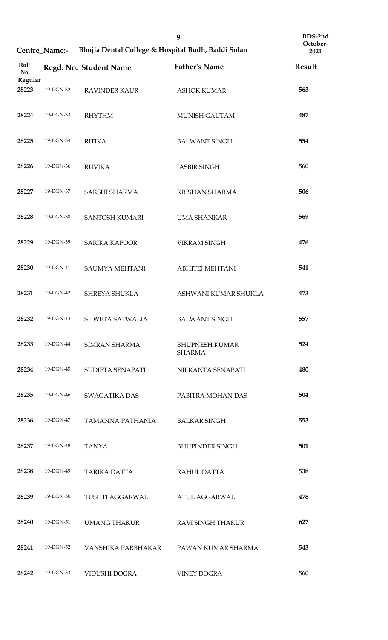|                         | Centre_Name:- Bhojia Dental College & Hospital Budh, Baddi Solan |                                      |                                        | October-<br>2021 |
|-------------------------|------------------------------------------------------------------|--------------------------------------|----------------------------------------|------------------|
| Roll<br>No.             |                                                                  | Regd. No. Student Name Father's Name |                                        | Result           |
| <b>Regular</b><br>28223 | 19-DGN-32                                                        | <b>RAVINDER KAUR</b>                 | <b>ASHOK KUMAR</b>                     | 563              |
| 28224                   | 19-DGN-33                                                        | <b>RHYTHM</b>                        | MUNISH GAUTAM                          | 487              |
| 28225                   | 19-DGN-34                                                        | <b>RITIKA</b>                        | <b>BALWANT SINGH</b>                   | 554              |
| 28226                   | 19-DGN-36                                                        | <b>RUVIKA</b>                        | <b>JASBIR SINGH</b>                    | 560              |
| 28227                   | 19-DGN-37                                                        | SAKSHI SHARMA                        | <b>KRISHAN SHARMA</b>                  | 506              |
| 28228                   | 19-DGN-38                                                        | SANTOSH KUMARI                       | <b>UMA SHANKAR</b>                     | 569              |
| 28229                   | 19-DGN-39                                                        | <b>SARIKA KAPOOR</b>                 | <b>VIKRAM SINGH</b>                    | 476              |
| 28230                   | 19-DGN-41                                                        | SAUMYA MEHTANI                       | <b>ABHITEJ MEHTANI</b>                 | 541              |
| 28231                   | 19-DGN-42                                                        | SHREYA SHUKLA                        | ASHWANI KUMAR SHUKLA                   | 473              |
| 28232                   | 19-DGN-43                                                        | SHWETA SATWALIA                      | <b>BALWANT SINGH</b>                   | 557              |
| 28233                   | 19-DGN-44                                                        | <b>SIMRAN SHARMA</b>                 | <b>BHUPNESH KUMAR</b><br><b>SHARMA</b> | 524              |
| 28234                   | 19-DGN-45                                                        | SUDIPTA SENAPATI                     | NILKANTA SENAPATI                      | 480              |
| 28235                   | 19-DGN-46                                                        | <b>SWAGATIKA DAS</b>                 | PABITRA MOHAN DAS                      | 504              |
| 28236                   | 19-DGN-47                                                        | TAMANNA PATHANIA                     | <b>BALKAR SINGH</b>                    | 553              |
| 28237                   | 19-DGN-48                                                        | <b>TANYA</b>                         | <b>BHUPINDER SINGH</b>                 | 501              |
| 28238                   | 19-DGN-49                                                        | <b>TARIKA DATTA</b>                  | <b>RAHUL DATTA</b>                     | 538              |
| 28239                   | 19-DGN-50                                                        | <b>TUSHTI AGGARWAL</b>               | <b>ATUL AGGARWAL</b>                   | 478              |
| 28240                   | 19-DGN-51                                                        | UMANG THAKUR                         | <b>RAVI SINGH THAKUR</b>               | 627              |
| 28241                   | 19-DGN-52                                                        | VANSHIKA PARBHAKAR                   | PAWAN KUMAR SHARMA                     | 543              |
| 28242                   | 19-DGN-53                                                        | VIDUSHI DOGRA                        | <b>VINEY DOGRA</b>                     | 560              |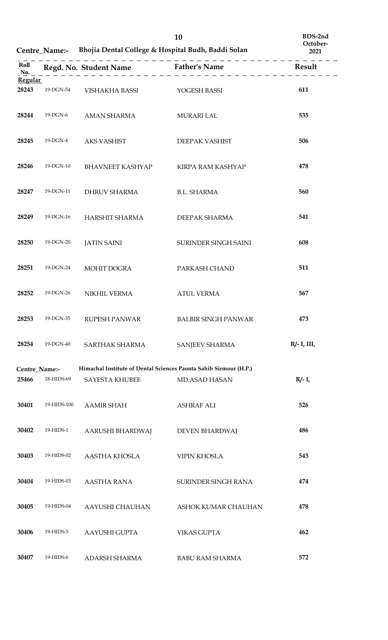|                         |               |                             | 10<br>Centre_Name:- Bhojia Dental College & Hospital Budh, Baddi Solan | BDS-2nd<br>October-<br>2021 |
|-------------------------|---------------|-----------------------------|------------------------------------------------------------------------|-----------------------------|
| Roll<br>No.             |               |                             | $\cdot$ = = = = = $\cdot$                                              | Result                      |
| <b>Regular</b><br>28243 | 19-DGN-54     | VISHAKHA BASSI YOGESH BASSI |                                                                        | 611                         |
| 28244                   | 19-DGN-6      | AMAN SHARMA                 | <b>MURARI LAL</b>                                                      | 535                         |
| 28245                   | 19-DGN-4      | <b>AKS VASHIST</b>          | DEEPAK VASHIST                                                         | 506                         |
| 28246                   | 19-DGN-10     | <b>BHAVNEET KASHYAP</b>     | KIRPA RAM KASHYAP                                                      | 478                         |
| 28247                   | 19-DGN-11     | DHRUV SHARMA                | <b>B.L. SHARMA</b>                                                     | 560                         |
| 28249                   | 19-DGN-16     | HARSHIT SHARMA              | DEEPAK SHARMA                                                          | 541                         |
| 28250                   | 19-DGN-20     | <b>JATIN SAINI</b>          | SURINDER SINGH SAINI                                                   | 608                         |
| 28251                   | 19-DGN-24     | MOHIT DOGRA                 | PARKASH CHAND                                                          | 511                         |
| 28252                   | 19-DGN-26     | NIKHIL VERMA                | <b>ATUL VERMA</b>                                                      | 567                         |
| 28253                   | 19-DGN-35     | RUPESH PANWAR               | <b>BALBIR SINGH PANWAR</b>                                             | 473                         |
| 28254                   | 19-DGN-40     | SARTHAK SHARMA              | <b>SANJEEV SHARMA</b>                                                  | $R/- I$ , III,              |
|                         | Centre_Name:- |                             | Himachal Institute of Dental Sciences Paonta Sahib Sirmour (H.P.)      |                             |
| 25466                   | 18-HIDS-69    | <b>SAYESTA KHUBEE</b>       | <b>MD.ASAD HASAN</b>                                                   | $R/- I$ ,                   |
| 30401                   | 19-HIDS-100   | <b>AAMIR SHAH</b>           | <b>ASHRAF ALI</b>                                                      | 526                         |
| 30402                   | 19-HIDS-1     | AARUSHI BHARDWAJ            | DEVEN BHARDWAJ                                                         | 486                         |
| 30403                   | 19-HIDS-02    | AASTHA KHOSLA               | <b>VIPIN KHOSLA</b>                                                    | 543                         |
| 30404                   | 19-HIDS-03    | <b>AASTHA RANA</b>          | SURINDER SINGH RANA                                                    | 474                         |
| 30405                   | 19-HIDS-04    | AAYUSHI CHAUHAN             | ASHOK KUMAR CHAUHAN                                                    | 478                         |
| 30406                   | 19-HIDS-5     | AAYUSHI GUPTA               | <b>VIKAS GUPTA</b>                                                     | 462                         |
| 30407                   | 19-HIDS-6     | ADARSH SHARMA               | <b>BABU RAM SHARMA</b>                                                 | 572                         |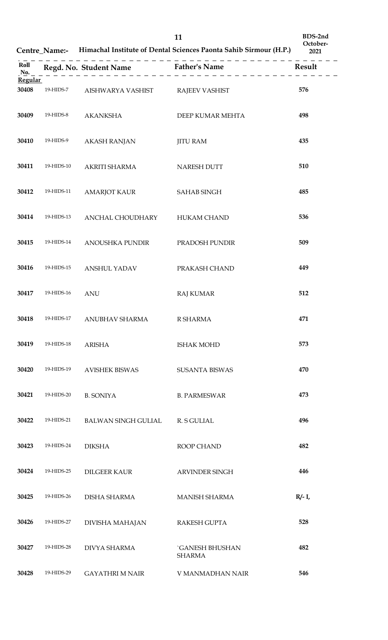**Centre\_Name:- Himachal Institute of Dental Sciences Paonta Sahib Sirmour (H.P.) October-**

| Roll<br>No.             |            |                                  | - - - - - - - - - - - - - - - - - - -  |           |
|-------------------------|------------|----------------------------------|----------------------------------------|-----------|
| <b>Regular</b><br>30408 | 19-HIDS-7  | AISHWARYA VASHIST RAJEEV VASHIST |                                        | 576       |
| 30409                   | 19-HIDS-8  | <b>AKANKSHA</b>                  | DEEP KUMAR MEHTA                       | 498       |
| 30410                   | 19-HIDS-9  | <b>AKASH RANJAN</b>              | <b>JITU RAM</b>                        | 435       |
| 30411                   | 19-HIDS-10 | AKRITI SHARMA                    | NARESH DUTT                            | 510       |
| 30412                   | 19-HIDS-11 | <b>AMARJOT KAUR</b>              | SAHAB SINGH                            | 485       |
| 30414                   | 19-HIDS-13 | ANCHAL CHOUDHARY                 | <b>HUKAM CHAND</b>                     | 536       |
| 30415                   | 19-HIDS-14 | ANOUSHKA PUNDIR                  | PRADOSH PUNDIR                         | 509       |
| 30416                   | 19-HIDS-15 | <b>ANSHUL YADAV</b>              | PRAKASH CHAND                          | 449       |
| 30417                   | 19-HIDS-16 | <b>ANU</b>                       | <b>RAJ KUMAR</b>                       | 512       |
| 30418                   | 19-HIDS-17 | ANUBHAV SHARMA                   | R SHARMA                               | 471       |
| 30419                   | 19-HIDS-18 | <b>ARISHA</b>                    | <b>ISHAK MOHD</b>                      | 573       |
| 30420                   | 19-HIDS-19 | <b>AVISHEK BISWAS</b>            | <b>SUSANTA BISWAS</b>                  | 470       |
| 30421                   | 19-HIDS-20 | <b>B. SONIYA</b>                 | <b>B. PARMESWAR</b>                    | 473       |
| 30422                   | 19-HIDS-21 | <b>BALWAN SINGH GULIAL</b>       | R. S GULIAL                            | 496       |
| 30423                   | 19-HIDS-24 | <b>DIKSHA</b>                    | ROOP CHAND                             | 482       |
| 30424                   | 19-HIDS-25 | <b>DILGEER KAUR</b>              | ARVINDER SINGH                         | 446       |
| 30425                   | 19-HIDS-26 | <b>DISHA SHARMA</b>              | <b>MANISH SHARMA</b>                   | $R/- I$ , |
| 30426                   | 19-HIDS-27 | DIVISHA MAHAJAN                  | RAKESH GUPTA                           | 528       |
| 30427                   | 19-HIDS-28 | <b>DIVYA SHARMA</b>              | <b>GANESH BHUSHAN</b><br><b>SHARMA</b> | 482       |
| 30428                   | 19-HIDS-29 | <b>GAYATHRI M NAIR</b>           | V MANMADHAN NAIR                       | 546       |

**BDS-2nd**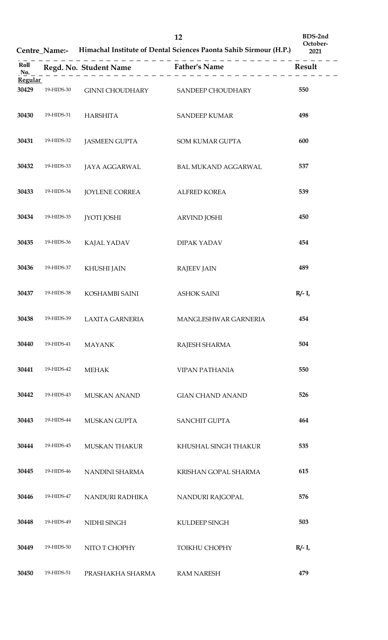**Centre\_Name:-** Himachal Institute of Dental Sciences Paonta Sahib Sirmour

| (H.P.) | BDS-2nd<br>October-<br>2021 |
|--------|-----------------------------|
|        |                             |

| Roll<br>No.      |            |                                   | Regd. No. Student Name Father's Name | Result    |
|------------------|------------|-----------------------------------|--------------------------------------|-----------|
| Regular<br>30429 | 19-HIDS-30 | GINNI CHOUDHARY SANDEEP CHOUDHARY |                                      | 550       |
| 30430            | 19-HIDS-31 | <b>HARSHITA</b>                   | <b>SANDEEP KUMAR</b>                 | 498       |
| 30431            | 19-HIDS-32 | <b>JASMEEN GUPTA</b>              | <b>SOM KUMAR GUPTA</b>               | 600       |
| 30432            | 19-HIDS-33 | JAYA AGGARWAL                     | <b>BAL MUKAND AGGARWAL</b>           | 537       |
| 30433            | 19-HIDS-34 | <b>JOYLENE CORREA</b>             | <b>ALFRED KOREA</b>                  | 539       |
| 30434            | 19-HIDS-35 | <b>JYOTI JOSHI</b>                | <b>ARVIND JOSHI</b>                  | 450       |
| 30435            | 19-HIDS-36 | KAJAL YADAV                       | <b>DIPAK YADAV</b>                   | 454       |
| 30436            | 19-HIDS-37 | KHUSHI JAIN                       | <b>RAJEEV JAIN</b>                   | 489       |
| 30437            | 19-HIDS-38 | KOSHAMBI SAINI                    | <b>ASHOK SAINI</b>                   | $R/- I$ , |
| 30438            | 19-HIDS-39 | <b>LAXITA GARNERIA</b>            | MANGLESHWAR GARNERIA                 | 454       |
| 30440            | 19-HIDS-41 | <b>MAYANK</b>                     | RAJESH SHARMA                        | 504       |
| 30441            | 19-HIDS-42 | <b>MEHAK</b>                      | <b>VIPAN PATHANIA</b>                | 550       |
| 30442            | 19-HIDS-43 | <b>MUSKAN ANAND</b>               | <b>GIAN CHAND ANAND</b>              | 526       |
| 30443            | 19-HIDS-44 | MUSKAN GUPTA                      | <b>SANCHIT GUPTA</b>                 | 464       |
| 30444            | 19-HIDS-45 | <b>MUSKAN THAKUR</b>              | KHUSHAL SINGH THAKUR                 | 535       |
| 30445            | 19-HIDS-46 | NANDINI SHARMA                    | KRISHAN GOPAL SHARMA                 | 615       |
| 30446            | 19-HIDS-47 | NANDURI RADHIKA                   | NANDURI RAJGOPAL                     | 576       |
| 30448            | 19-HIDS-49 | NIDHI SINGH                       | KULDEEP SINGH                        | 503       |
| 30449            | 19-HIDS-50 | NITO T CHOPHY                     | <b>TOIKHU CHOPHY</b>                 | $R/- I$ , |
| 30450            | 19-HIDS-51 | PRASHAKHA SHARMA                  | <b>RAM NARESH</b>                    | 479       |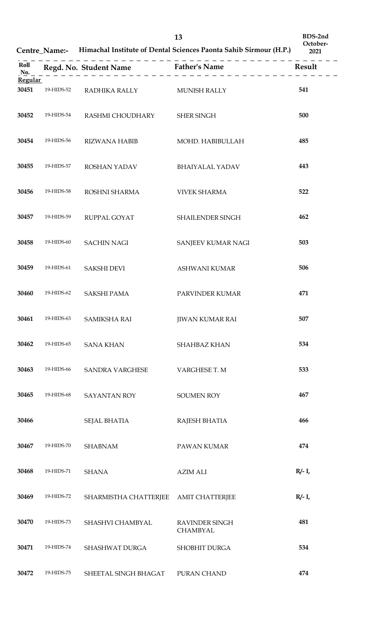**Centre\_Name:- Himachal Institute of Dental Sciences Paonta Sahib Sirmour (H.P.)**

| BDS-2nd  |  |
|----------|--|
| October- |  |
| 2021     |  |

| Roll<br>No.    |            |                            | Regd. No. Student Name Father's Name Result |           |
|----------------|------------|----------------------------|---------------------------------------------|-----------|
| <b>Regular</b> |            |                            |                                             |           |
| 30451          | 19-HIDS-52 | RADHIKA RALLY MUNISH RALLY |                                             | 541       |
| 30452          | 19-HIDS-54 | RASHMI CHOUDHARY           | SHER SINGH                                  | 500       |
| 30454          | 19-HIDS-56 | <b>RIZWANA HABIB</b>       | MOHD. HABIBULLAH                            | 485       |
| 30455          | 19-HIDS-57 | ROSHAN YADAV               | <b>BHAIYALAL YADAV</b>                      | 443       |
| 30456          | 19-HIDS-58 | ROSHNI SHARMA              | <b>VIVEK SHARMA</b>                         | 522       |
| 30457          | 19-HIDS-59 | RUPPAL GOYAT               | SHAILENDER SINGH                            | 462       |
| 30458          | 19-HIDS-60 | <b>SACHIN NAGI</b>         | SANJEEV KUMAR NAGI                          | 503       |
| 30459          | 19-HIDS-61 | <b>SAKSHI DEVI</b>         | ASHWANI KUMAR                               | 506       |
| 30460          | 19-HIDS-62 | <b>SAKSHI PAMA</b>         | PARVINDER KUMAR                             | 471       |
| 30461          | 19-HIDS-63 | <b>SAMIKSHA RAI</b>        | <b>JIWAN KUMAR RAI</b>                      | 507       |
| 30462          | 19-HIDS-65 | <b>SANA KHAN</b>           | <b>SHAHBAZ KHAN</b>                         | 534       |
| 30463          | 19-HIDS-66 | <b>SANDRA VARGHESE</b>     | VARGHESE T. M                               | 533       |
| 30465          | 19-HIDS-68 | <b>SAYANTAN ROY</b>        | <b>SOUMEN ROY</b>                           | 467       |
| 30466          |            | SEJAL BHATIA               | RAJESH BHATIA                               | 466       |
| 30467          | 19-HIDS-70 | <b>SHABNAM</b>             | PAWAN KUMAR                                 | 474       |
| 30468          | 19-HIDS-71 | <b>SHANA</b>               | <b>AZIM ALI</b>                             | $R/- I$ , |
| 30469          | 19-HIDS-72 | SHARMISTHA CHATTERJEE      | <b>AMIT CHATTERJEE</b>                      | $R/- I$ , |
| 30470          | 19-HIDS-73 | SHASHVI CHAMBYAL           | <b>RAVINDER SINGH</b><br><b>CHAMBYAL</b>    | 481       |
| 30471          | 19-HIDS-74 | SHASHWAT DURGA             | <b>SHOBHIT DURGA</b>                        | 534       |
| 30472          | 19-HIDS-75 | SHEETAL SINGH BHAGAT       | PURAN CHAND                                 | 474       |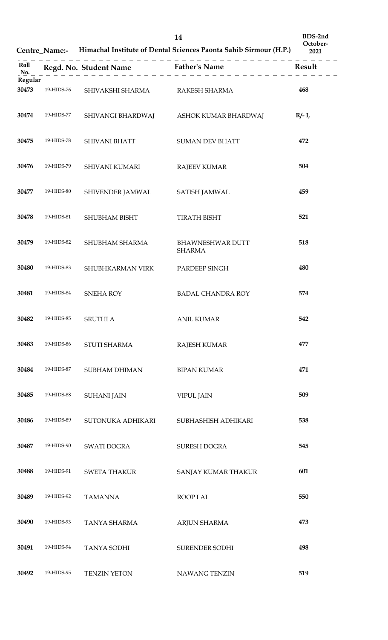**Centre\_Name:- Himachal Institute of Dental Sciences Paonta Sahib Sirmour (H.P.)**

**BDS-2nd October-**

| Roll<br>No.    |            |                                |                                          |           |
|----------------|------------|--------------------------------|------------------------------------------|-----------|
| <b>Regular</b> |            |                                |                                          |           |
| 30473          | 19-HIDS-76 | SHIVAKSHI SHARMA RAKESH SHARMA |                                          | 468       |
| 30474          | 19-HIDS-77 |                                | SHIVANGI BHARDWAJ ASHOK KUMAR BHARDWAJ   | $R/- I$ , |
| 30475          | 19-HIDS-78 | <b>SHIVANI BHATT</b>           | <b>SUMAN DEV BHATT</b>                   | 472       |
| 30476          | 19-HIDS-79 | SHIVANI KUMARI                 | <b>RAJEEV KUMAR</b>                      | 504       |
| 30477          | 19-HIDS-80 | SHIVENDER JAMWAL SATISH JAMWAL |                                          | 459       |
| 30478          | 19-HIDS-81 | SHUBHAM BISHT                  | <b>TIRATH BISHT</b>                      | 521       |
| 30479          | 19-HIDS-82 | SHUBHAM SHARMA                 | <b>BHAWNESHWAR DUTT</b><br><b>SHARMA</b> | 518       |
| 30480          | 19-HIDS-83 | SHUBHKARMAN VIRK               | PARDEEP SINGH                            | 480       |
| 30481          | 19-HIDS-84 | SNEHA ROY                      | <b>BADAL CHANDRA ROY</b>                 | 574       |
| 30482          | 19-HIDS-85 | <b>SRUTHI A</b>                | <b>ANIL KUMAR</b>                        | 542       |
| 30483          | 19-HIDS-86 | STUTI SHARMA                   | RAJESH KUMAR                             | 477       |
| 30484          | 19-HIDS-87 | SUBHAM DHIMAN                  | <b>BIPAN KUMAR</b>                       | 471       |
| 30485          | 19-HIDS-88 | <b>SUHANI JAIN</b>             | <b>VIPUL JAIN</b>                        | 509       |
| 30486          | 19-HIDS-89 | SUTONUKA ADHIKARI              | SUBHASHISH ADHIKARI                      | 538       |
| 30487          | 19-HIDS-90 | SWATI DOGRA                    | SURESH DOGRA                             | 545       |
| 30488          | 19-HIDS-91 | <b>SWETA THAKUR</b>            | SANJAY KUMAR THAKUR                      | 601       |
| 30489          | 19-HIDS-92 | <b>TAMANNA</b>                 | ROOP LAL                                 | 550       |
| 30490          | 19-HIDS-93 | TANYA SHARMA                   | ARJUN SHARMA                             | 473       |
| 30491          | 19-HIDS-94 | <b>TANYA SODHI</b>             | SURENDER SODHI                           | 498       |
| 30492          | 19-HIDS-95 | <b>TENZIN YETON</b>            | NAWANG TENZIN                            | 519       |